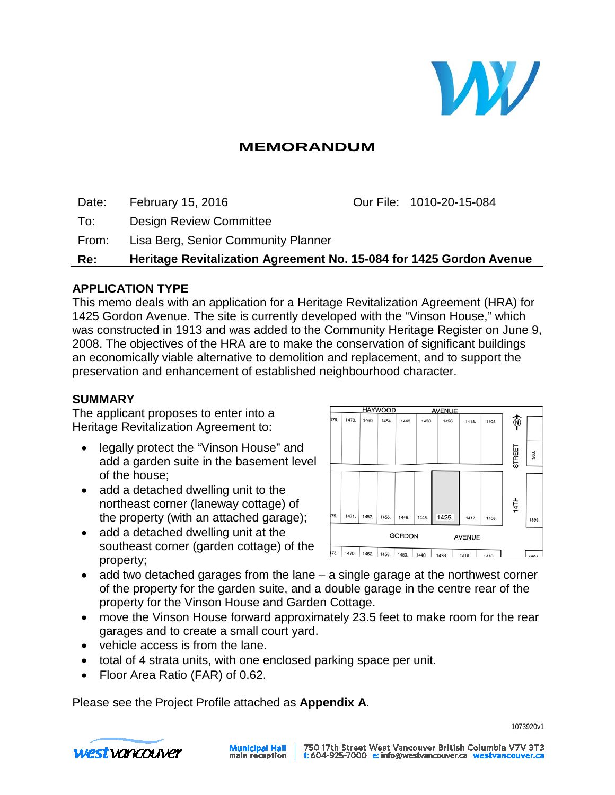

# **MEMORANDUM**

Date: February 15, 2016 Our File: 1010-20-15-084

To: Design Review Committee

From: Lisa Berg, Senior Community Planner

**Re: Heritage Revitalization Agreement No. 15-084 for 1425 Gordon Avenue**

## **APPLICATION TYPE**

This memo deals with an application for a Heritage Revitalization Agreement (HRA) for 1425 Gordon Avenue. The site is currently developed with the "Vinson House," which was constructed in 1913 and was added to the Community Heritage Register on June 9, 2008. The objectives of the HRA are to make the conservation of significant buildings an economically viable alternative to demolition and replacement, and to support the preservation and enhancement of established neighbourhood character.

## **SUMMARY**

The applicant proposes to enter into a Heritage Revitalization Agreement to:

- legally protect the "Vinson House" and add a garden suite in the basement level of the house;
- add a detached dwelling unit to the northeast corner (laneway cottage) of the property (with an attached garage);
- add a detached dwelling unit at the southeast corner (garden cottage) of the property;



- add two detached garages from the lane  $-$  a single garage at the northwest corner of the property for the garden suite, and a double garage in the centre rear of the property for the Vinson House and Garden Cottage.
- move the Vinson House forward approximately 23.5 feet to make room for the rear garages and to create a small court yard.
- vehicle access is from the lane.
- total of 4 strata units, with one enclosed parking space per unit.
- Floor Area Ratio (FAR) of 0.62.

Please see the Project Profile attached as **Appendix A**.

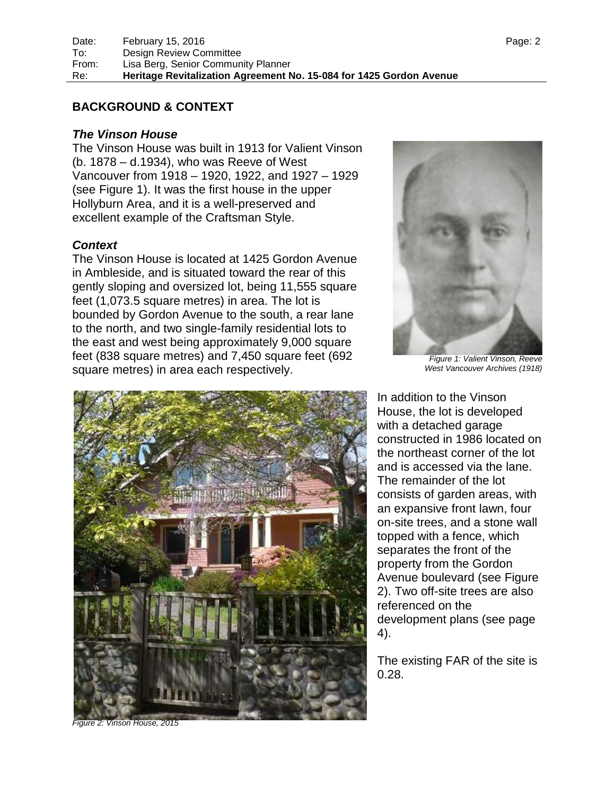#### **BACKGROUND & CONTEXT**

#### *The Vinson House*

The Vinson House was built in 1913 for Valient Vinson (b. 1878 – d.1934), who was Reeve of West Vancouver from 1918 – 1920, 1922, and 1927 – 1929 (see Figure 1). It was the first house in the upper Hollyburn Area, and it is a well-preserved and excellent example of the Craftsman Style.

#### *Context*

The Vinson House is located at 1425 Gordon Avenue in Ambleside, and is situated toward the rear of this gently sloping and oversized lot, being 11,555 square feet (1,073.5 square metres) in area. The lot is bounded by Gordon Avenue to the south, a rear lane to the north, and two single-family residential lots to the east and west being approximately 9,000 square feet (838 square metres) and 7,450 square feet (692 square metres) in area each respectively.





*Figure 1: Valient Vinson, Reeve West Vancouver Archives (1918)*

In addition to the Vinson House, the lot is developed with a detached garage constructed in 1986 located on the northeast corner of the lot and is accessed via the lane. The remainder of the lot consists of garden areas, with an expansive front lawn, four on-site trees, and a stone wall topped with a fence, which separates the front of the property from the Gordon Avenue boulevard (see Figure 2). Two off-site trees are also referenced on the development plans (see page 4).

The existing FAR of the site is 0.28.

*Figure 2: Vinson House, 2015*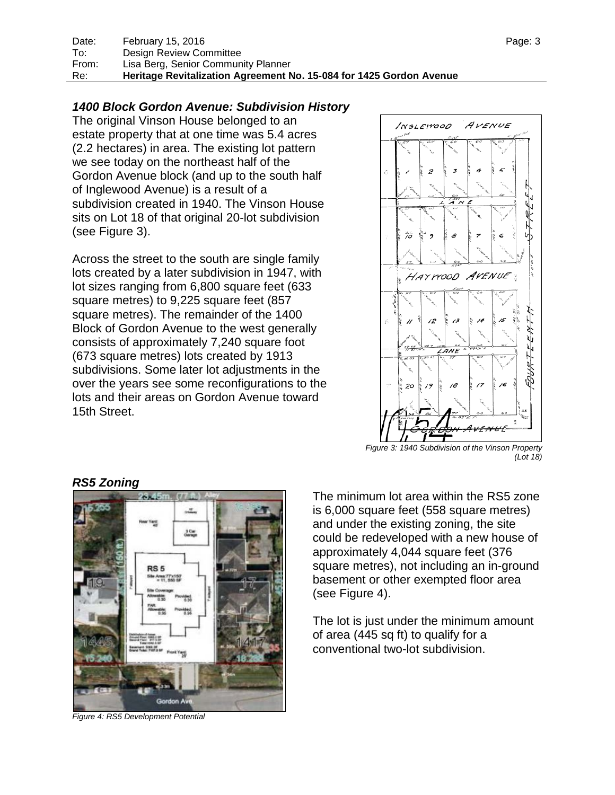## *1400 Block Gordon Avenue: Subdivision History*

The original Vinson House belonged to an estate property that at one time was 5.4 acres (2.2 hectares) in area. The existing lot pattern we see today on the northeast half of the Gordon Avenue block (and up to the south half of Inglewood Avenue) is a result of a subdivision created in 1940. The Vinson House sits on Lot 18 of that original 20-lot subdivision (see Figure 3).

Across the street to the south are single family lots created by a later subdivision in 1947, with lot sizes ranging from 6,800 square feet (633 square metres) to 9,225 square feet (857 square metres). The remainder of the 1400 Block of Gordon Avenue to the west generally consists of approximately 7,240 square foot (673 square metres) lots created by 1913 subdivisions. Some later lot adjustments in the over the years see some reconfigurations to the lots and their areas on Gordon Avenue toward 15th Street.



*Figure 3: 1940 Subdivision of the Vinson Property (Lot 18)*



*RS5 Zoning*

*Figure 4: RS5 Development Potential*

The minimum lot area within the RS5 zone is 6,000 square feet (558 square metres) and under the existing zoning, the site could be redeveloped with a new house of approximately 4,044 square feet (376 square metres), not including an in-ground basement or other exempted floor area (see Figure 4).

The lot is just under the minimum amount of area (445 sq ft) to qualify for a conventional two-lot subdivision.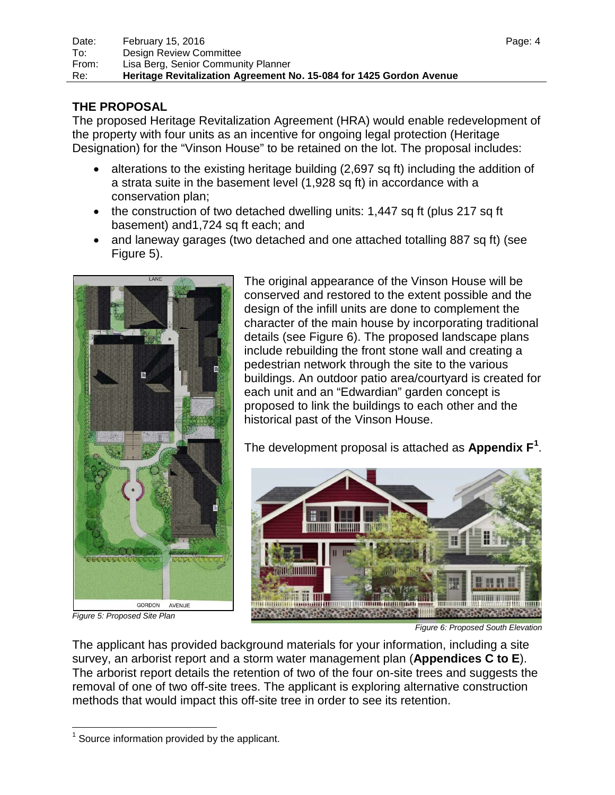# **THE PROPOSAL**

The proposed Heritage Revitalization Agreement (HRA) would enable redevelopment of the property with four units as an incentive for ongoing legal protection (Heritage Designation) for the "Vinson House" to be retained on the lot. The proposal includes:

- alterations to the existing heritage building (2,697 sq ft) including the addition of a strata suite in the basement level (1,928 sq ft) in accordance with a conservation plan;
- the construction of two detached dwelling units: 1,447 sq ft (plus 217 sq ft basement) and1,724 sq ft each; and
- and laneway garages (two detached and one attached totalling 887 sq ft) (see Figure 5).



*Figure 5: Proposed Site Plan*

The original appearance of the Vinson House will be conserved and restored to the extent possible and the design of the infill units are done to complement the character of the main house by incorporating traditional details (see Figure 6). The proposed landscape plans include rebuilding the front stone wall and creating a pedestrian network through the site to the various buildings. An outdoor patio area/courtyard is created for each unit and an "Edwardian" garden concept is proposed to link the buildings to each other and the historical past of the Vinson House.

The development proposal is attached as **Appendix F[1](#page-3-0)** .



*Figure 6: Proposed South Elevation*

The applicant has provided background materials for your information, including a site survey, an arborist report and a storm water management plan (**Appendices C to E**). The arborist report details the retention of two of the four on-site trees and suggests the removal of one of two off-site trees. The applicant is exploring alternative construction methods that would impact this off-site tree in order to see its retention.

<span id="page-3-0"></span> $1$  Source information provided by the applicant.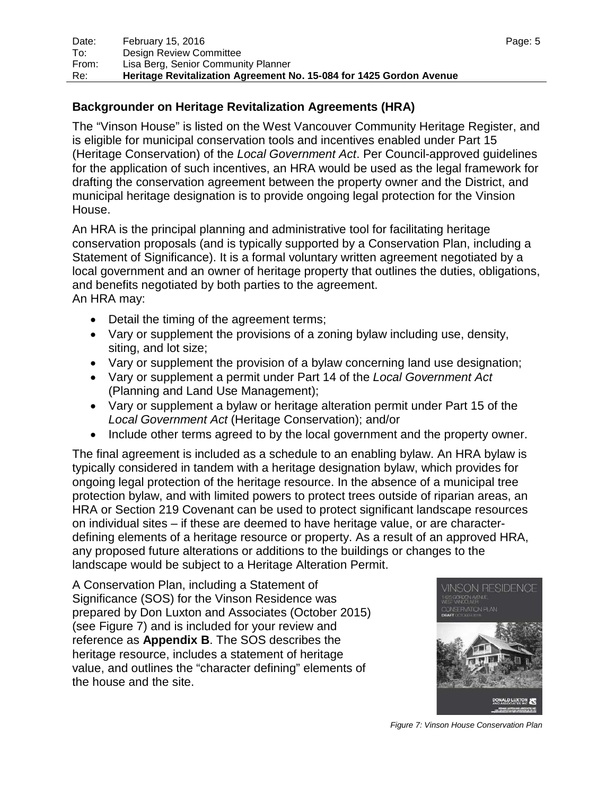## **Backgrounder on Heritage Revitalization Agreements (HRA)**

The "Vinson House" is listed on the West Vancouver Community Heritage Register, and is eligible for municipal conservation tools and incentives enabled under Part 15 (Heritage Conservation) of the *Local Government Act*. Per Council-approved guidelines for the application of such incentives, an HRA would be used as the legal framework for drafting the conservation agreement between the property owner and the District, and municipal heritage designation is to provide ongoing legal protection for the Vinsion House.

An HRA is the principal planning and administrative tool for facilitating heritage conservation proposals (and is typically supported by a Conservation Plan, including a Statement of Significance). It is a formal voluntary written agreement negotiated by a local government and an owner of heritage property that outlines the duties, obligations, and benefits negotiated by both parties to the agreement. An HRA may:

- Detail the timing of the agreement terms;
- Vary or supplement the provisions of a zoning bylaw including use, density, siting, and lot size;
- Vary or supplement the provision of a bylaw concerning land use designation;
- Vary or supplement a permit under Part 14 of the *Local Government Act*  (Planning and Land Use Management);
- Vary or supplement a bylaw or heritage alteration permit under Part 15 of the *Local Government Act* (Heritage Conservation); and/or
- Include other terms agreed to by the local government and the property owner.

The final agreement is included as a schedule to an enabling bylaw. An HRA bylaw is typically considered in tandem with a heritage designation bylaw, which provides for ongoing legal protection of the heritage resource. In the absence of a municipal tree protection bylaw, and with limited powers to protect trees outside of riparian areas, an HRA or Section 219 Covenant can be used to protect significant landscape resources on individual sites – if these are deemed to have heritage value, or are characterdefining elements of a heritage resource or property. As a result of an approved HRA, any proposed future alterations or additions to the buildings or changes to the landscape would be subject to a Heritage Alteration Permit.

A Conservation Plan, including a Statement of Significance (SOS) for the Vinson Residence was prepared by Don Luxton and Associates (October 2015) (see Figure 7) and is included for your review and reference as **Appendix B**. The SOS describes the heritage resource, includes a statement of heritage value, and outlines the "character defining" elements of the house and the site.



*Figure 7: Vinson House Conservation Plan*